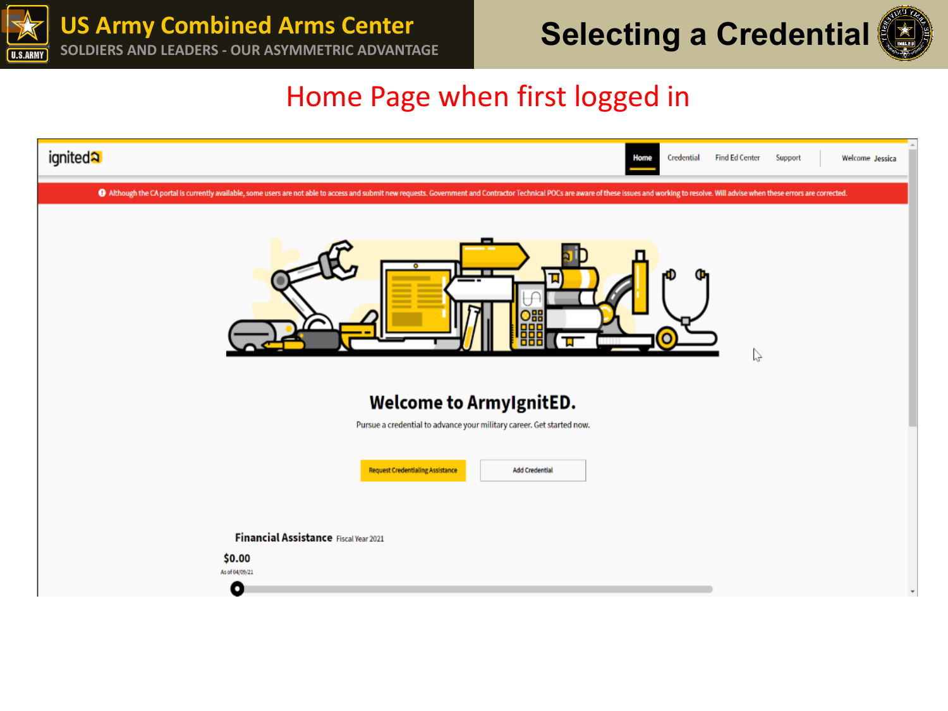



### Home Page when first logged in

| ignited <sup>2</sup><br>Credential<br><b>Find Ed Center</b><br>Support<br>Welcome Jessica<br><b>Home</b>                                                                                                                                                                                                                                                                            |  |  |  |  |  |
|-------------------------------------------------------------------------------------------------------------------------------------------------------------------------------------------------------------------------------------------------------------------------------------------------------------------------------------------------------------------------------------|--|--|--|--|--|
| 4 Although the CA portal is currently available, some users are not able to access and submit new requests. Government and Contractor Technical POCs are aware of these issues and working to resolve. Will advise when these<br>ı<br>$^{\circ}$<br>000<br>888<br>ᇻ<br>P<br><b>Welcome to ArmyIgnitED.</b><br>Pursue a credential to advance your military career. Get started now. |  |  |  |  |  |
| <b>Request Credentialing Assistance</b><br><b>Add Credential</b><br>Financial Assistance Fiscal Year 2021<br>\$0.00<br>As of 04/09/21<br>O                                                                                                                                                                                                                                          |  |  |  |  |  |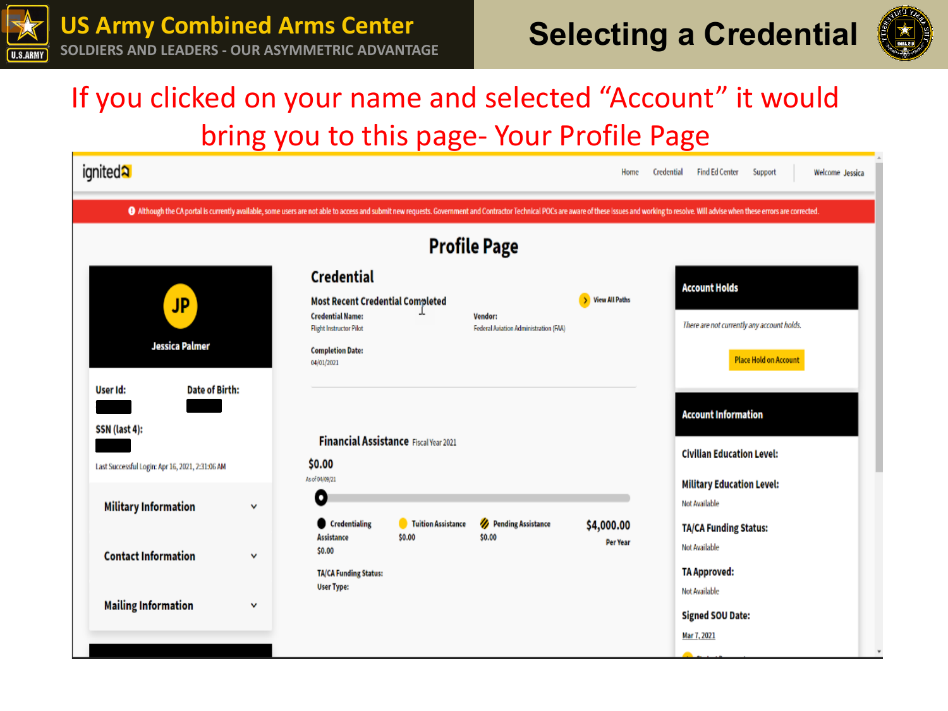



# If you clicked on your name and selected "Account" it would bring you to this page- Your Profile Page

| ignited <sup>2</sup>                                                                                                                                                                                                          |   |                                                                                                                                                                    |                    |                                                  | Home             | Credential | <b>Find Ed Center</b>                                                                              | Support                      | Welcome Jessica |
|-------------------------------------------------------------------------------------------------------------------------------------------------------------------------------------------------------------------------------|---|--------------------------------------------------------------------------------------------------------------------------------------------------------------------|--------------------|--------------------------------------------------|------------------|------------|----------------------------------------------------------------------------------------------------|------------------------------|-----------------|
| O Although the CA portal is currently available, some users are not able to access and submit new requests. Government and Contractor Technical POCs are aware of these issues and working to resolve. Will advise when these |   |                                                                                                                                                                    |                    |                                                  |                  |            |                                                                                                    |                              |                 |
| <b>Profile Page</b>                                                                                                                                                                                                           |   |                                                                                                                                                                    |                    |                                                  |                  |            |                                                                                                    |                              |                 |
| <b>JP</b><br>Jessica Palmer                                                                                                                                                                                                   |   | <b>Credential</b><br><b>Most Recent Credential Completed</b><br><b>Credential Name:</b><br><b>Flight Instructor Pilot</b><br><b>Completion Date:</b><br>04/01/2021 |                    | Vendor:<br>Federal Aviation Administration (FAA) | > View All Paths |            | <b>Account Holds</b><br>There are not currently any account holds.                                 | <b>Place Hold on Account</b> |                 |
| <b>Date of Birth:</b><br>User Id:<br>SSN (last 4):<br>Last Successful Login: Apr 16, 2021, 2:31:06 AM                                                                                                                         |   | Financial Assistance Fiscal Year 2021<br>\$0.00<br>As of 04/09/21                                                                                                  |                    |                                                  |                  |            | <b>Account Information</b><br><b>Civilian Education Level:</b><br><b>Military Education Level:</b> |                              |                 |
| <b>Military Information</b>                                                                                                                                                                                                   | v | 0<br>Credentialing                                                                                                                                                 | Tuition Assistance | Pending Assistance<br>\$0.00                     | \$4,000.00       |            | Not Available<br><b>TA/CA Funding Status:</b>                                                      |                              |                 |
| <b>Contact Information</b>                                                                                                                                                                                                    | v | <b>Assistance</b><br>\$0.00<br><b>TA/CA Funding Status:</b><br><b>User Type:</b>                                                                                   | \$0.00             |                                                  | <b>Per Year</b>  |            | <b>Not Available</b><br><b>TA Approved:</b><br>Not Available                                       |                              |                 |
| <b>Mailing Information</b>                                                                                                                                                                                                    | ٧ |                                                                                                                                                                    |                    |                                                  |                  |            | <b>Signed SOU Date:</b><br>Mar 7, 2021                                                             |                              |                 |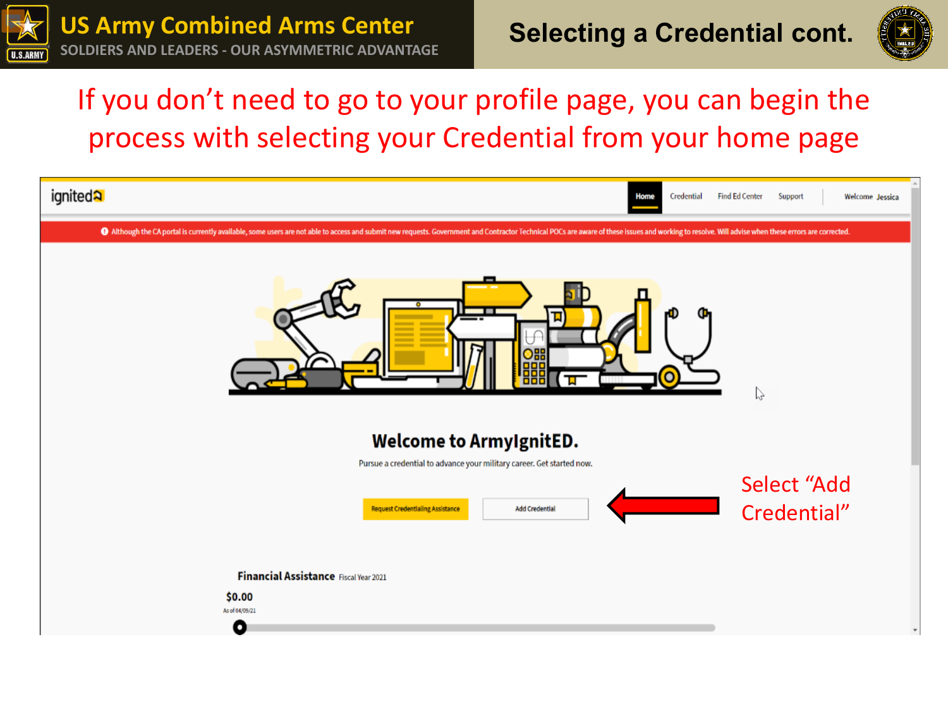



# If you don't need to go to your profile page, you can begin the process with selecting your Credential from your home page

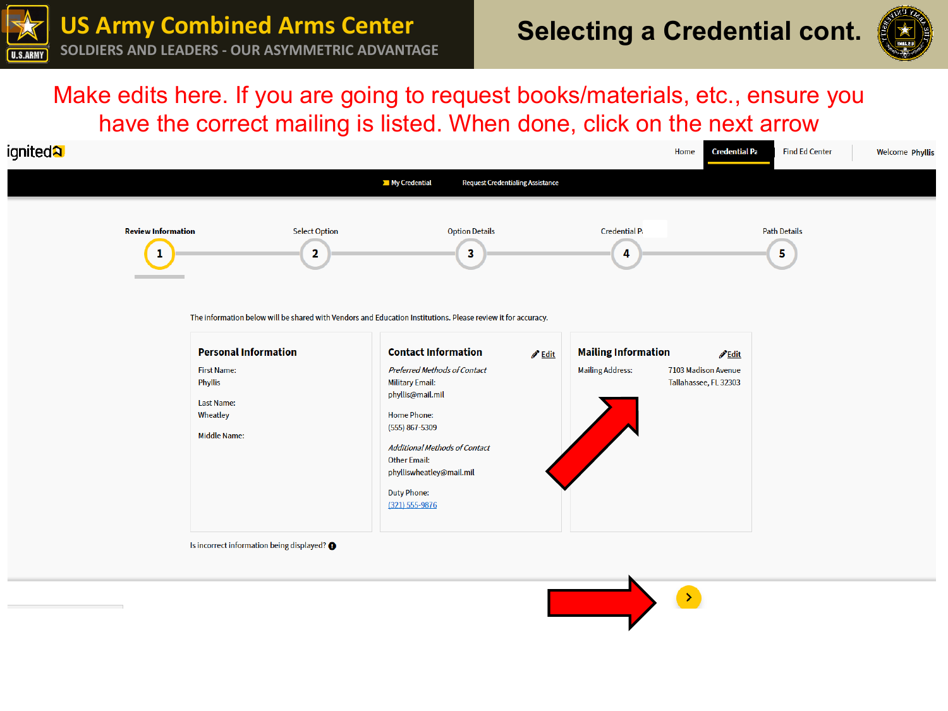



#### Make edits here. If you are going to request books/materials, etc., ensure you have the correct mailing is listed. When done, click on the next arrow

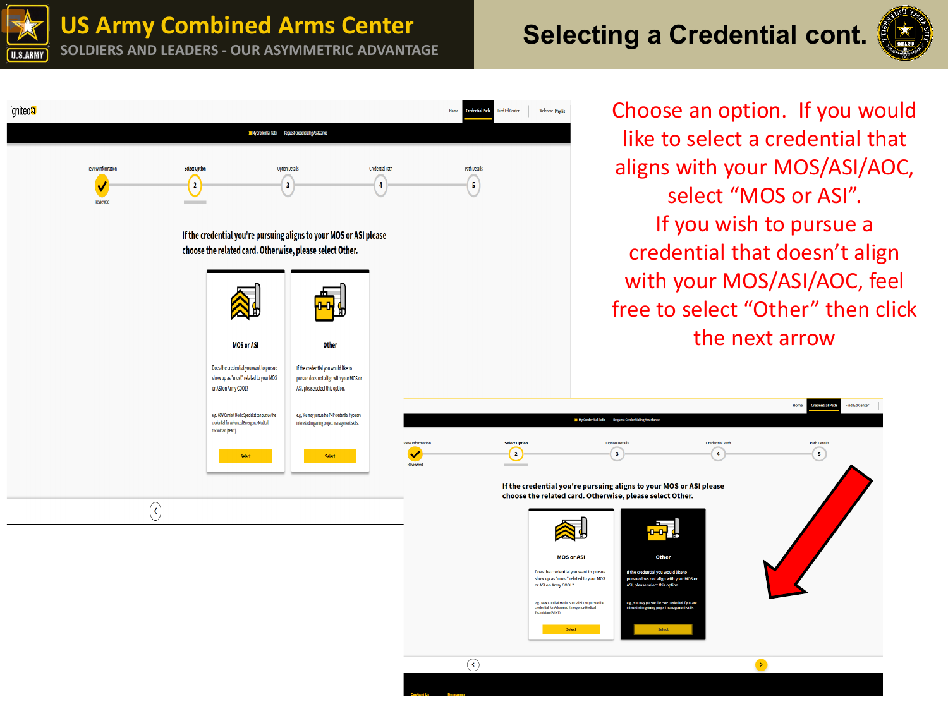**US Army Combined Arms Center**

## **SOLDIERS AND LEADERS - OUR ASYMMETRIC ADVANTAGE AND SELECTING A Credential cont.**



Find Ed Center

**Path Detail** 

 $\bigodot$ 



Il My Credential Path Bequest Credentialing Assistance **Review Informatio** Select Ontio **Ontion Detail Credential Patt Path Details**  $\left( 5\right)$  $\left( \frac{1}{2} \right)$ ✔  $\overline{\mathbf{3}}$  $\overline{4}$ If the credential you're pursuing aligns to your MOS or ASI please choose the related card. Otherwise, please select Other. **MOS or ASI Other** Does the credential you want to pursue If the credential you would like to show up as "most" related to your MOS pursue does not align with your MOS or or ASI on Army COOL? ASI, please select this option. e.g., 68W Combat Medic Specialist can pursue the e.g., You may pursue the PMP credential if you are credential for Advanced Emergency Medical Interested in gaining project management skills. Technician (AFMT). .<br>Select Opti Ontion Deta  $\bullet$  $\bigodot$  $\overline{\mathbf{3}}$ Select Select If the credential you're pursuing aligns to your MOS or ASI please choose the related card. Otherwise, please select Other.  $(\mathbf{\epsilon})$ <mark>لوب</mark> **MOS or ASI** Other Does the credential you want to pursue ish waxaanad lika ta show up as "most" related to your MOS sue does not align with you or ASI on Army COOL? e.g., GBW Combat Medic Specialist can pursue the credential for Advanced Emergency Medical Technician (AEMT)  $\bigcirc$ 

Find Ed Center

**Welcome Phyllis** 

Choose an option. If you would like to select a credential that aligns with your MOS/ASI/AOC, select "MOS or ASI". If you wish to pursue a credential that doesn't align with your MOS/ASI/AOC, feel free to select "Other" then click the next arrow

 $\sqrt{4}$ 

 $\rightarrow$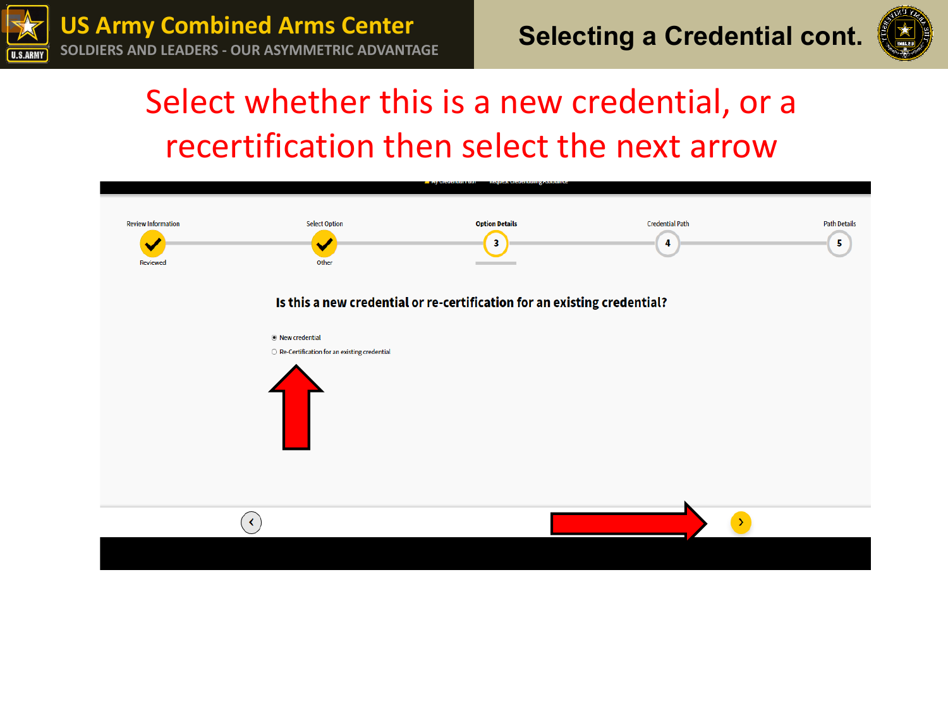



# Select whether this is a new credential, or a recertification then select the next arrow

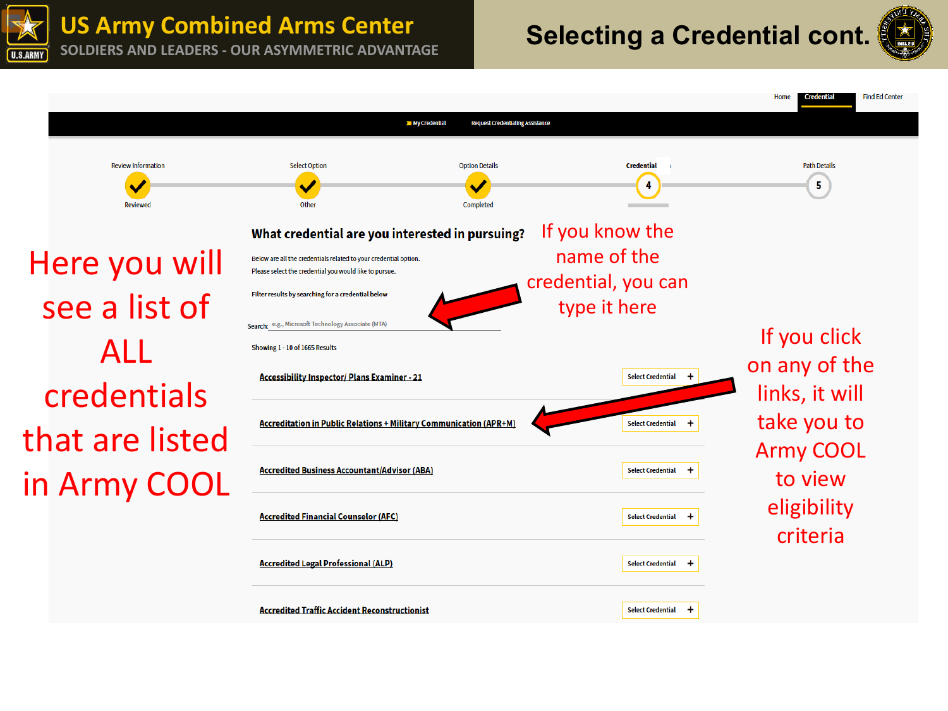

# **SOLDIERS AND LEADERS - OUR ASYMMETRIC ADVANTAGE <b>Selecting a Credential cont.**



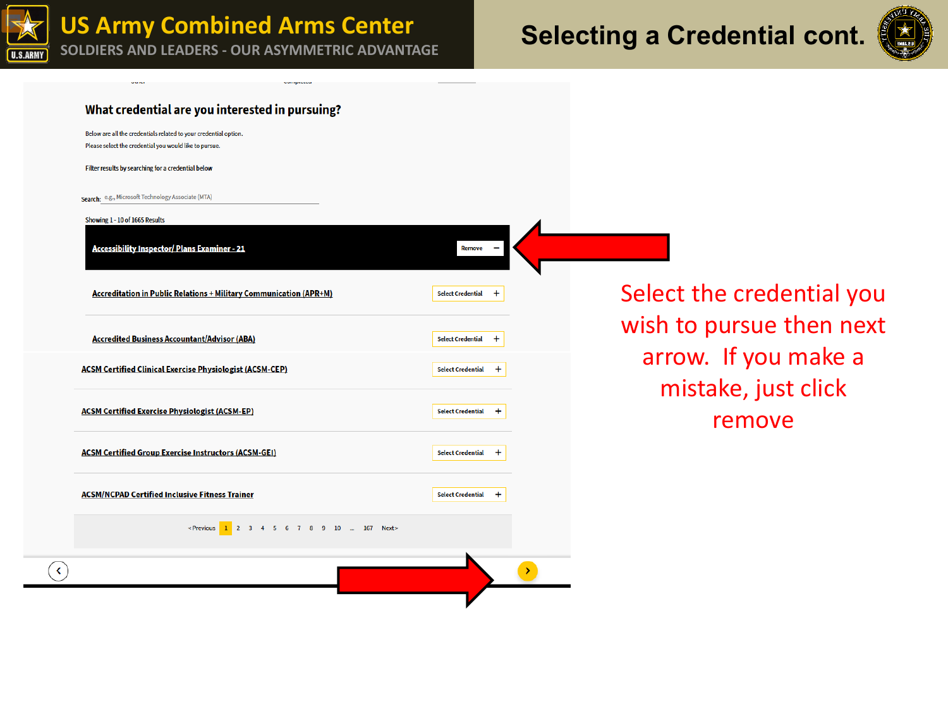



#### What credential are you interested in pursuing?

Below are all the credentials related to your credential option. Please select the credential you would like to pursue.

Filter results by searching for a credential below

Search: e.g., Microsoft Technology Associate (MTA)

Showing 1 - 10 of 1665 Results

 $\blacktriangleleft$ 

**Accessibility Inspector/ Plans Examiner - 21** 

**Accreditation in Public Relations + Military Communication (APR+M)** 

**Accredited Business Accountant/Advisor (ABA)** 

| <b>ACSM Certified Clinical Exercise Physiologist (ACSM-CEP)</b> |  |
|-----------------------------------------------------------------|--|

| <b>ACSM Certified Exercise Physiologist (ACSM-EP)</b> |  |  |
|-------------------------------------------------------|--|--|

| <b>ACSM Certified Group Exercise Instructors (ACSM-GEI)</b> | <b>Select Credential</b> |
|-------------------------------------------------------------|--------------------------|

**ACSM/NCPAD Certified Inclusive Fitness Trainer** 

<Previous 1 2 3 4 5 6 7 8 9 10 ... 167 Next>

Remove

 $+$ 

 $\ddot{}$ 

 $\ddot{\phantom{1}}$ 

 $+$ 

 $\ddot{}$ 

 $+$ 

 $\rightarrow$ 

**Select Credential** 

**Select Credential** 

**Select Credential** 

**Select Credential** 

**Select Credential** 

Select the credential you wish to pursue then next arrow. If you make a mistake, just click remove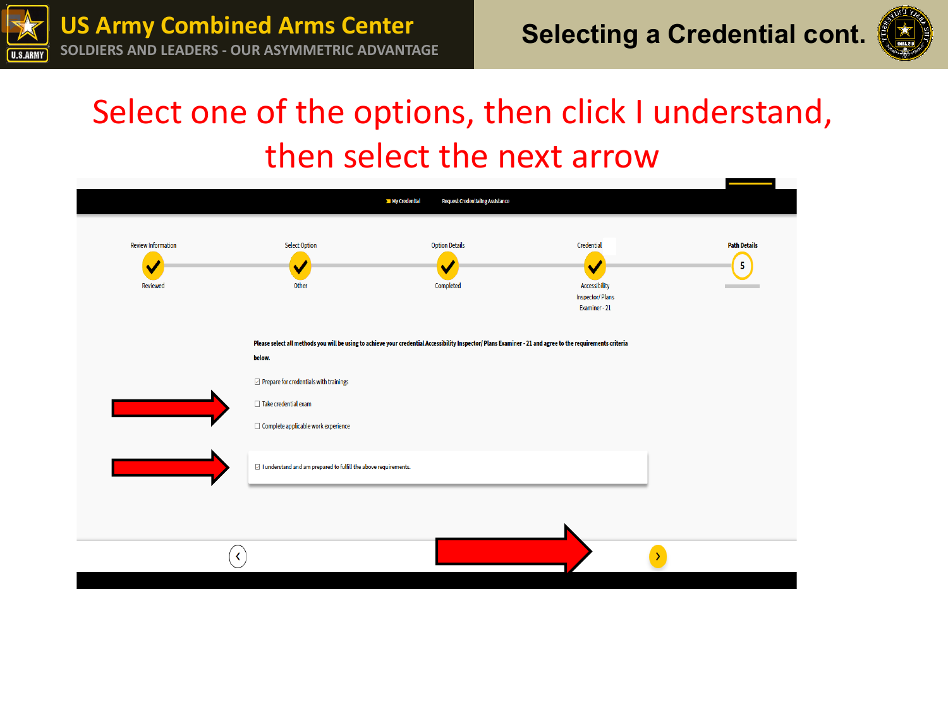



# Select one of the options, then click I understand, then select the next arrow

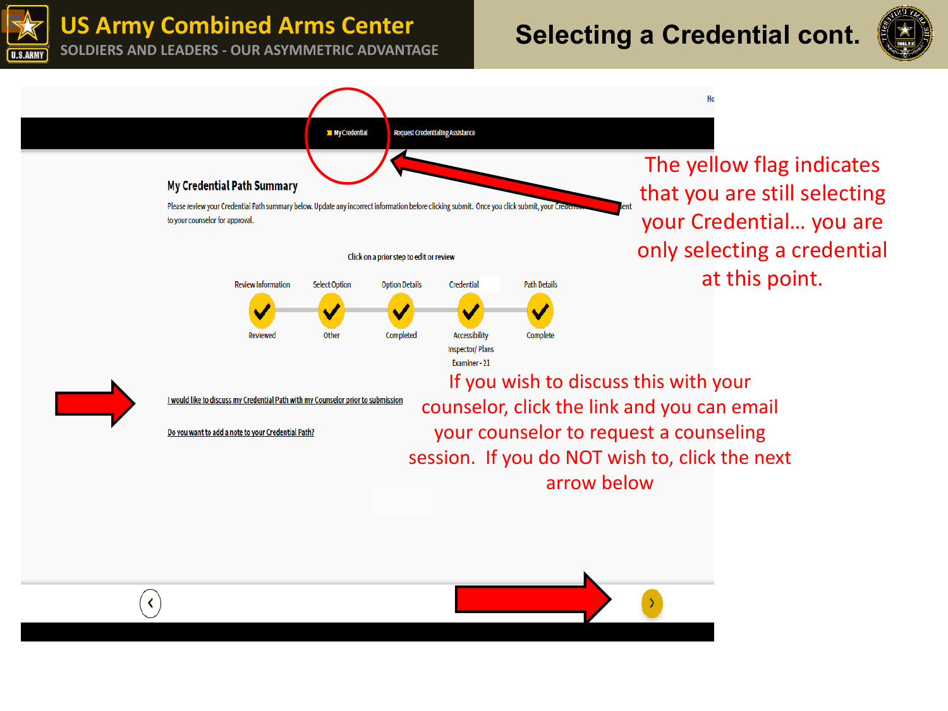**US Army Combined Arms Center**

# **US ATMY COMPINED ATMS CENTER**<br>SOLDIERS AND LEADERS - OUR ASYMMETRIC ADVANTAGE<br> **SOLDIERS AND LEADERS - OUR ASYMMETRIC ADVANTAGE**